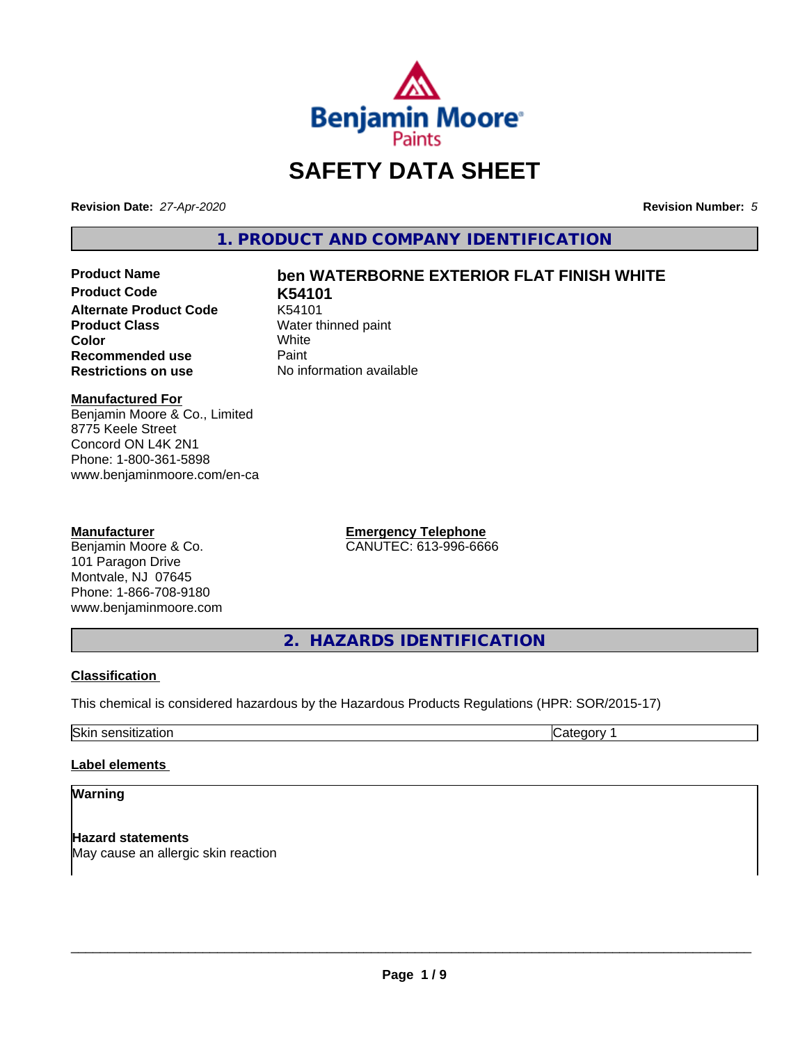

# **SAFETY DATA SHEET**

**Revision Date:** *27-Apr-2020* **Revision Number:** *5*

**1. PRODUCT AND COMPANY IDENTIFICATION**

**Product Code K54101 Alternate Product Code** K54101<br>**Product Class** Water th **Color** White White **Recommended use** Paint<br> **Restrictions on use** No inf

## **Product Name ben WATERBORNE EXTERIOR FLAT FINISH WHITE**

**Water thinned paint**<br>White **No information available** 

#### **Manufactured For**

Benjamin Moore & Co., Limited 8775 Keele Street Concord ON L4K 2N1 Phone: 1-800-361-5898 www.benjaminmoore.com/en-ca

#### **Manufacturer**

Benjamin Moore & Co. 101 Paragon Drive Montvale, NJ 07645 Phone: 1-866-708-9180 www.benjaminmoore.com **Emergency Telephone** CANUTEC: 613-996-6666

**2. HAZARDS IDENTIFICATION**

#### **Classification**

This chemical is considered hazardous by the Hazardous Products Regulations (HPR: SOR/2015-17)

Skin sensitization **Category 1 Category 1** 

#### **Label elements**

#### **Warning**

**Hazard statements** May cause an allergic skin reaction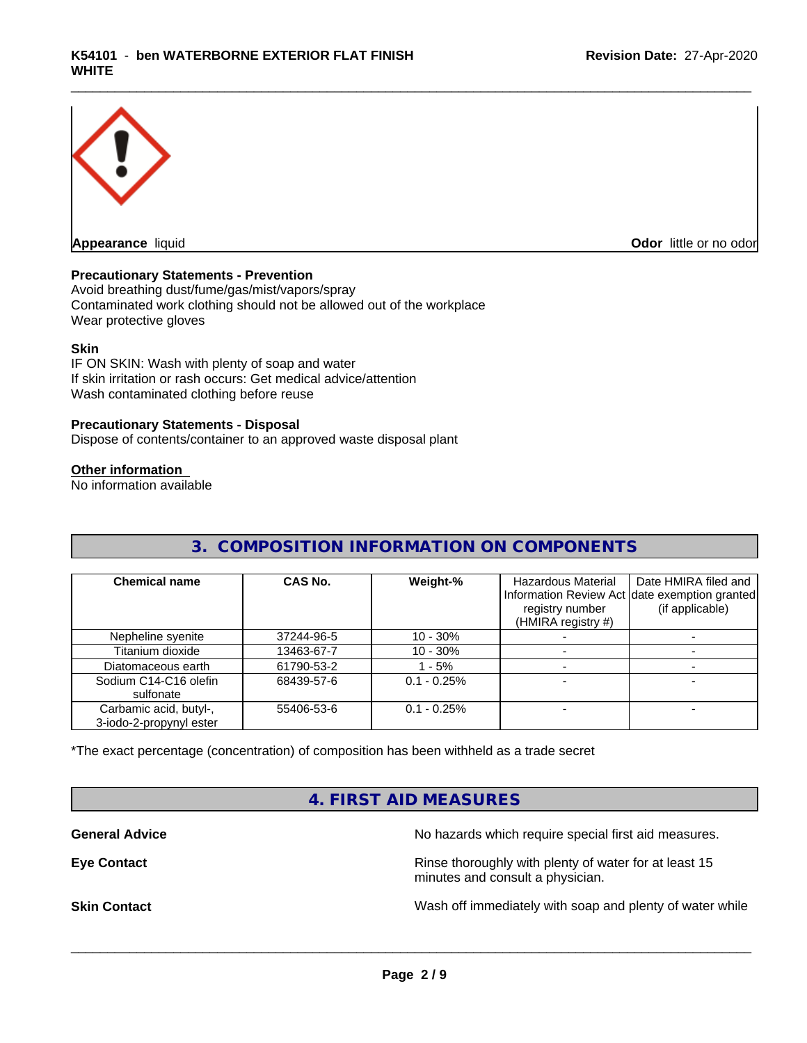

**Appearance** liquid **Odor in the original of the original of the original of the original of the original of the original of the original of the original of the original of the original of the original of the original of t** 

#### **Precautionary Statements - Prevention**

Avoid breathing dust/fume/gas/mist/vapors/spray Contaminated work clothing should not be allowed out of the workplace Wear protective gloves

#### **Skin**

IF ON SKIN: Wash with plenty of soap and water If skin irritation or rash occurs: Get medical advice/attention Wash contaminated clothing before reuse

#### **Precautionary Statements - Disposal**

Dispose of contents/container to an approved waste disposal plant

#### **Other information**

No information available

## **3. COMPOSITION INFORMATION ON COMPONENTS**

| <b>Chemical name</b>                              | CAS No.    | Weight-%      | Hazardous Material<br>registry number<br>(HMIRA registry #) | Date HMIRA filed and<br>Information Review Act date exemption granted<br>(if applicable) |
|---------------------------------------------------|------------|---------------|-------------------------------------------------------------|------------------------------------------------------------------------------------------|
| Nepheline syenite                                 | 37244-96-5 | $10 - 30\%$   |                                                             |                                                                                          |
| Titanium dioxide                                  | 13463-67-7 | $10 - 30%$    |                                                             |                                                                                          |
| Diatomaceous earth                                | 61790-53-2 | $-5%$         |                                                             |                                                                                          |
| Sodium C14-C16 olefin<br>sulfonate                | 68439-57-6 | $0.1 - 0.25%$ |                                                             |                                                                                          |
| Carbamic acid, butyl-,<br>3-iodo-2-propynyl ester | 55406-53-6 | $0.1 - 0.25%$ |                                                             |                                                                                          |

\*The exact percentage (concentration) of composition has been withheld as a trade secret

## **4. FIRST AID MEASURES**

**General Advice** No hazards which require special first aid measures.

**Eye Contact Exercise 2.1 All 2.5 All 2.5 All 2.6 All 2.6 All 2.6 All 2.6 All 2.6 All 2.6 All 2.6 All 2.6 All 2.6 All 2.6 All 2.6 All 2.6 All 2.6 All 2.6 All 2.6 All 2.6 All 2.6 All 2.6 All 2.6 All 2.6 All 2.6 All 2.6 Al** minutes and consult a physician.

**Skin Contact** Same of the Mash off immediately with soap and plenty of water while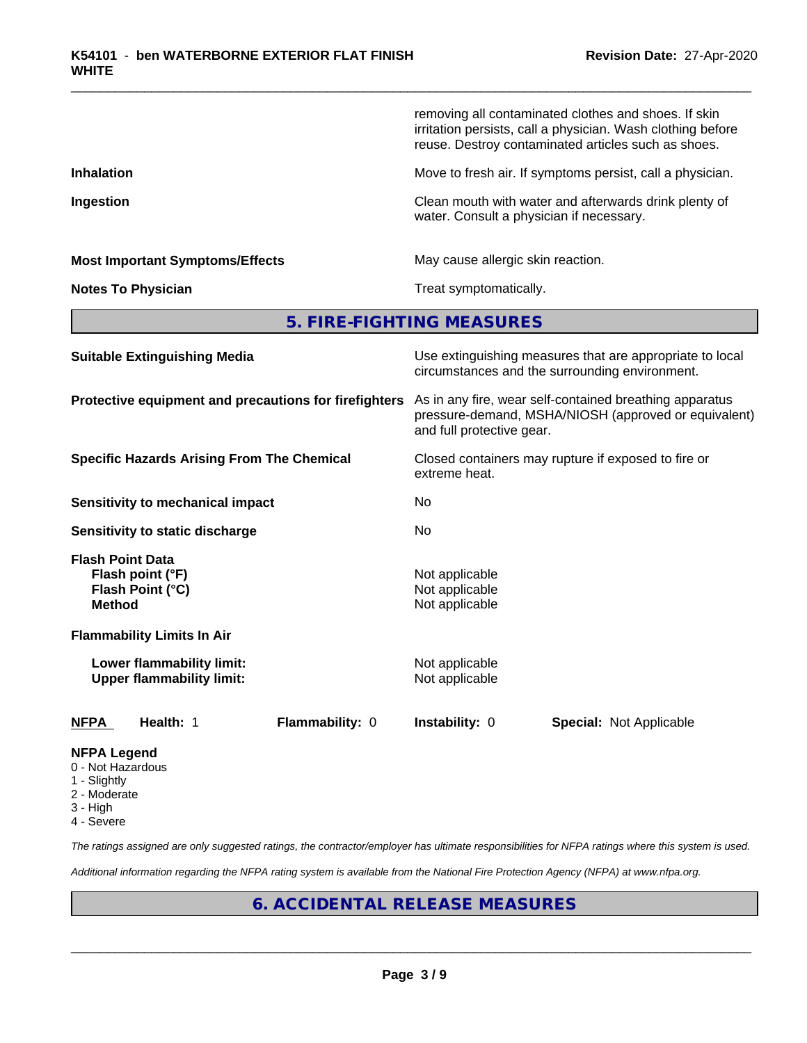|                                                                                  | removing all contaminated clothes and shoes. If skin<br>irritation persists, call a physician. Wash clothing before<br>reuse. Destroy contaminated articles such as shoes. |
|----------------------------------------------------------------------------------|----------------------------------------------------------------------------------------------------------------------------------------------------------------------------|
| <b>Inhalation</b>                                                                | Move to fresh air. If symptoms persist, call a physician.                                                                                                                  |
| Ingestion                                                                        | Clean mouth with water and afterwards drink plenty of<br>water. Consult a physician if necessary.                                                                          |
| <b>Most Important Symptoms/Effects</b>                                           | May cause allergic skin reaction.                                                                                                                                          |
| <b>Notes To Physician</b>                                                        | Treat symptomatically.                                                                                                                                                     |
|                                                                                  | 5. FIRE-FIGHTING MEASURES                                                                                                                                                  |
| <b>Suitable Extinguishing Media</b>                                              | Use extinguishing measures that are appropriate to local<br>circumstances and the surrounding environment.                                                                 |
| Protective equipment and precautions for firefighters                            | As in any fire, wear self-contained breathing apparatus<br>pressure-demand, MSHA/NIOSH (approved or equivalent)<br>and full protective gear.                               |
| <b>Specific Hazards Arising From The Chemical</b>                                | Closed containers may rupture if exposed to fire or<br>extreme heat.                                                                                                       |
| Sensitivity to mechanical impact                                                 | No                                                                                                                                                                         |
| Sensitivity to static discharge                                                  | No                                                                                                                                                                         |
| <b>Flash Point Data</b><br>Flash point (°F)<br>Flash Point (°C)<br><b>Method</b> | Not applicable<br>Not applicable<br>Not applicable                                                                                                                         |
| <b>Flammability Limits In Air</b>                                                |                                                                                                                                                                            |
| Lower flammability limit:<br><b>Upper flammability limit:</b>                    | Not applicable<br>Not applicable                                                                                                                                           |
| Flammability: 0<br><b>NFPA</b><br>Health: 1                                      | Instability: 0<br><b>Special: Not Applicable</b>                                                                                                                           |
| <b>NFPA Legend</b>                                                               |                                                                                                                                                                            |

- 0 Not Hazardous
- 1 Slightly
- 2 Moderate
- 3 High
- 4 Severe

*The ratings assigned are only suggested ratings, the contractor/employer has ultimate responsibilities for NFPA ratings where this system is used.*

*Additional information regarding the NFPA rating system is available from the National Fire Protection Agency (NFPA) at www.nfpa.org.*

## **6. ACCIDENTAL RELEASE MEASURES**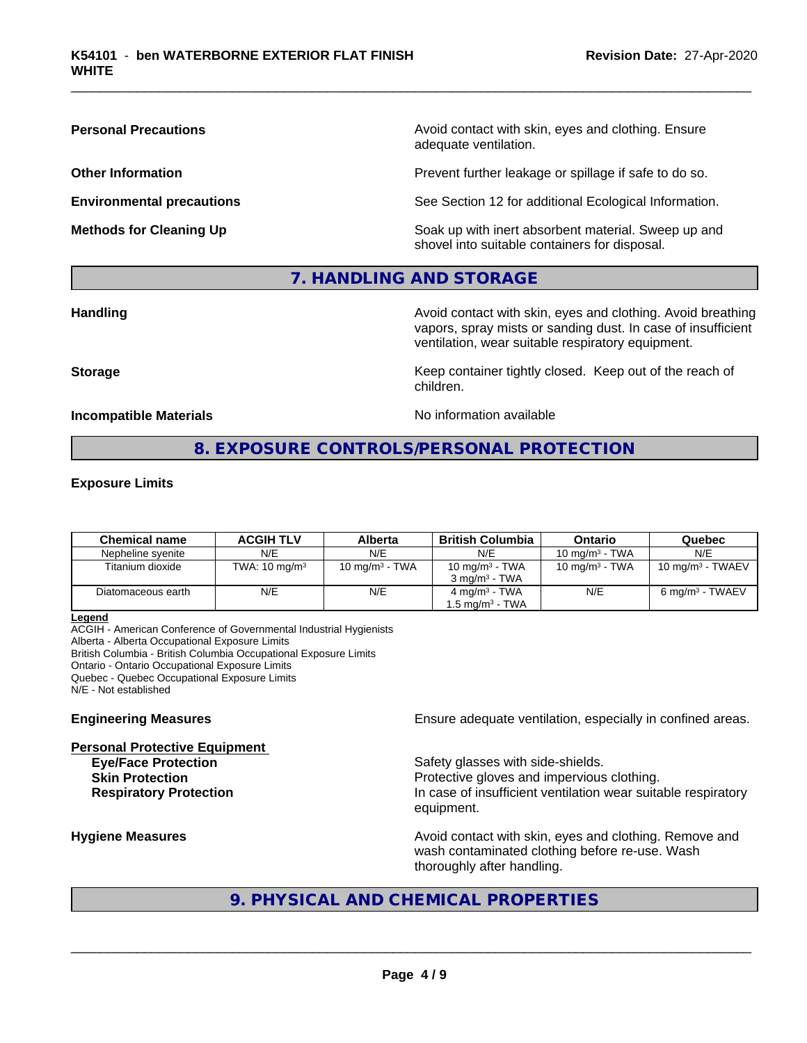**Personal Precautions Precautions** Avoid contact with skin, eyes and clothing. Ensure adequate ventilation.

**Other Information Other Information Prevent further leakage or spillage if safe to do so.** 

**Environmental precautions** See Section 12 for additional Ecological Information.

**Methods for Cleaning Up Example 20 All 20 All 20 All 20 Soak** up with inert absorbent material. Sweep up and shovel into suitable containers for disposal.

## **7. HANDLING AND STORAGE**

**Handling Handling Avoid contact with skin, eyes and clothing. Avoid breathing** vapors, spray mists or sanding dust. In case of insufficient ventilation, wear suitable respiratory equipment.

**Storage Keep container tightly closed. Keep out of the reach of Keep** container tightly closed. Keep out of the reach of

**Incompatible Materials** Noinformation available

## **8. EXPOSURE CONTROLS/PERSONAL PROTECTION**

children.

#### **Exposure Limits**

| <b>Chemical name</b> | <b>ACGIH TLV</b>         | Alberta           | British Columbia            | Ontario           | Quebec                       |
|----------------------|--------------------------|-------------------|-----------------------------|-------------------|------------------------------|
| Nepheline svenite    | N/E                      | N/E               | N/E                         | 10 mg/m $3$ - TWA | N/E                          |
| Titanium dioxide     | TWA: $10 \text{ mg/m}^3$ | 10 mg/m $3$ - TWA | 10 mg/m $3$ - TWA           | 10 mg/m $3$ - TWA | 10 mg/m <sup>3</sup> - TWAEV |
|                      |                          |                   | $3 \text{ ma/m}^3$ - TWA    |                   |                              |
| Diatomaceous earth   | N/E                      | N/E               | $4 \text{ mg/m}^3$ - TWA    | N/E               | 6 mg/m <sup>3</sup> - TWAEV  |
|                      |                          |                   | 1.5 mg/m <sup>3</sup> - TWA |                   |                              |

**Legend**

ACGIH - American Conference of Governmental Industrial Hygienists Alberta - Alberta Occupational Exposure Limits British Columbia - British Columbia Occupational Exposure Limits Ontario - Ontario Occupational Exposure Limits Quebec - Quebec Occupational Exposure Limits N/E - Not established

**Personal Protective Equipment**

**Engineering Measures Ensure** Ensure adequate ventilation, especially in confined areas.

**Eve/Face Protection Safety glasses with side-shields. Skin Protection Protection Protective gloves and impervious clothing. Respiratory Protection In case of insufficient ventilation wear suitable respiratory** equipment.

**Hygiene Measures Avoid contact with skin, eyes and clothing. Remove and Avoid contact with skin, eyes and clothing. Remove and Avoid contact with skin, eyes and clothing. Remove and** wash contaminated clothing before re-use. Wash thoroughly after handling.

## **9. PHYSICAL AND CHEMICAL PROPERTIES**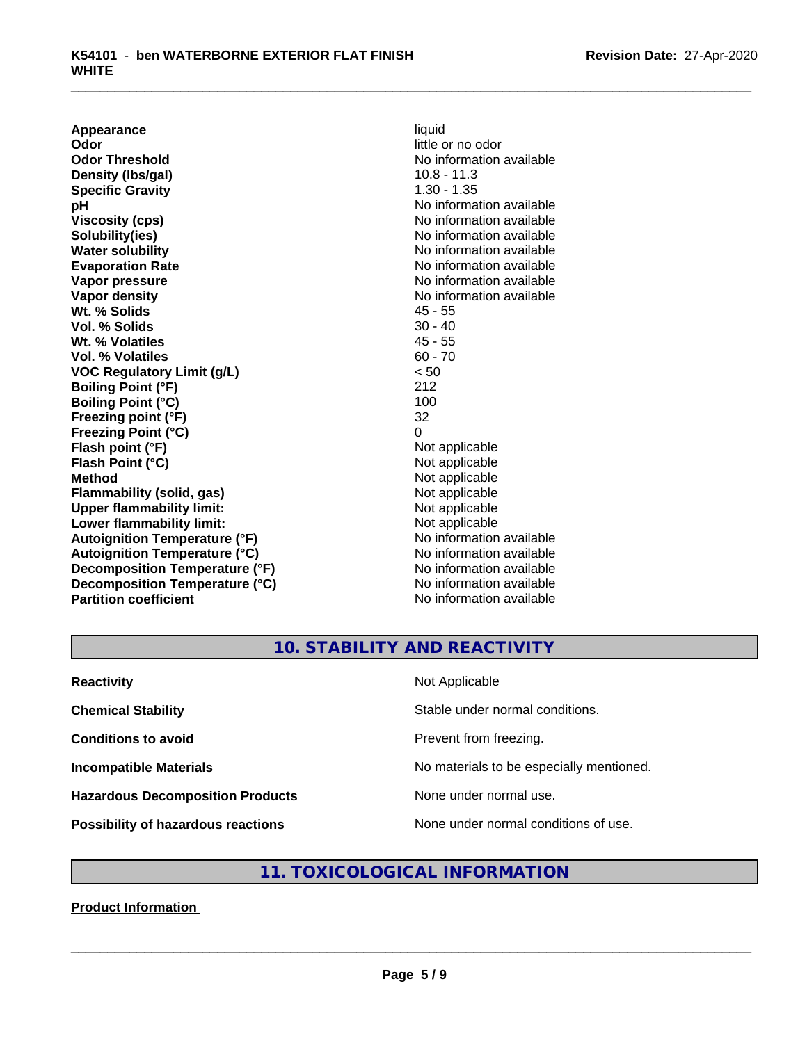**Appearance** liquid<br> **Odor** little c **Odor Threshold** No information available **Density (lbs/gal)** 10.8 - 11.3 **Specific Gravity** 1.30 - 1.35 **pH** No information available **Viscosity (cps)** No information available Notice 1, 1999 **Solubility(ies)** No information available in the solution of the solution of the solution available in the solution of the solution of the solution of the solution of the solution of the solution of the solution of the so **Water solubility** No information available **Evaporation Rate No information available No information available Vapor pressure** No information available **Vapor density**<br> **We Solids**<br>
We Solid Wi, % Solids
2018 **Wt. % Solids** 45 - 55<br> **Vol. % Solids** 30 - 40 **Vol. % Solids Wt. % Volatiles** 45 - 55 **Vol. % Volatiles** 60 - 70 **VOC Regulatory Limit (g/L)** < 50 **Boiling Point (°F)** 212 **Boiling Point (°C) Freezing point (°F)** 32 **Freezing Point (°C)** 0 **Flash point (°F)** Not applicable **Flash Point (°C)** Not applicable **Method** Not applicable<br> **Flammability (solid, gas)** Not applicable Not applicable **Flammability (solid, gas)**<br> **Upper flammability limit:**<br>
Upper flammability limit: **Upper flammability limit:**<br> **Lower flammability limit:**<br>
Not applicable<br>
Not applicable **Lower flammability limit:**<br> **Autoignition Temperature (°F)** Not applicable Not applicable **Autoignition Temperature (°F) Autoignition Temperature (°C)** No information available **Decomposition Temperature (°F)** No information available **Decomposition Temperature (°C)** No information available **Partition coefficient** No information available

little or no odor

## **10. STABILITY AND REACTIVITY**

| <b>Reactivity</b>                         | Not Applicable                           |
|-------------------------------------------|------------------------------------------|
| <b>Chemical Stability</b>                 | Stable under normal conditions.          |
| <b>Conditions to avoid</b>                | Prevent from freezing.                   |
| <b>Incompatible Materials</b>             | No materials to be especially mentioned. |
| <b>Hazardous Decomposition Products</b>   | None under normal use.                   |
| <b>Possibility of hazardous reactions</b> | None under normal conditions of use.     |

## **11. TOXICOLOGICAL INFORMATION**

#### **Product Information**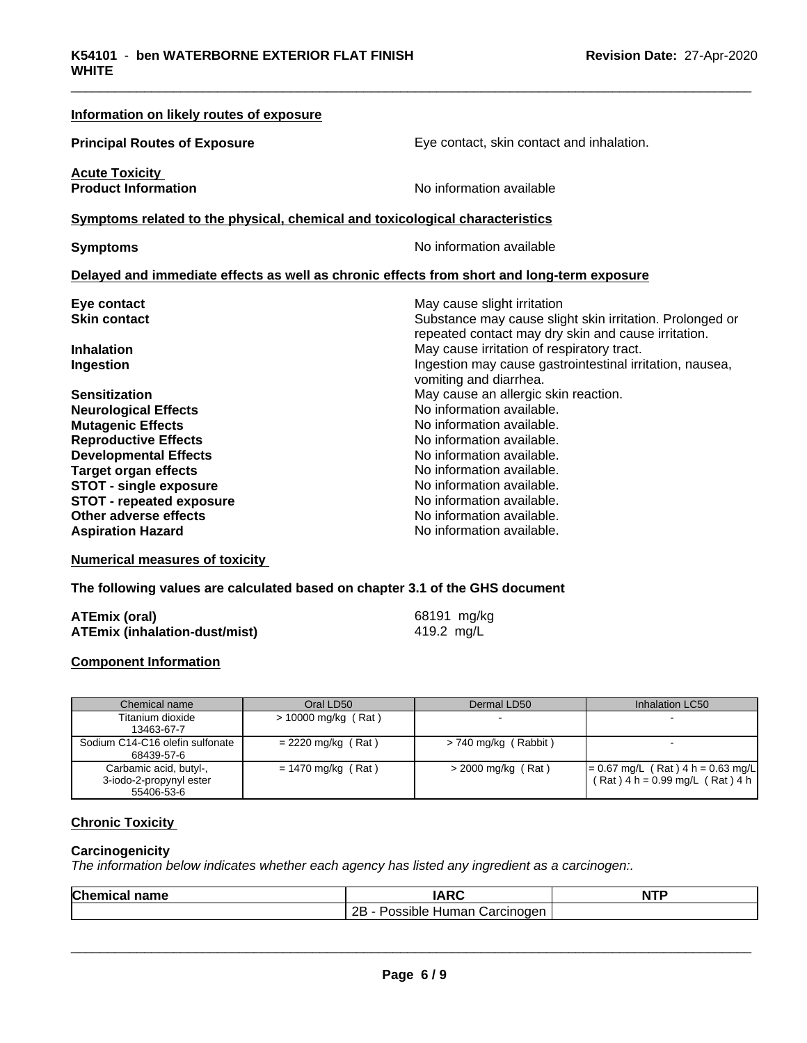| Information on likely routes of exposure                                     |                                                                                            |
|------------------------------------------------------------------------------|--------------------------------------------------------------------------------------------|
| <b>Principal Routes of Exposure</b>                                          | Eye contact, skin contact and inhalation.                                                  |
| <b>Acute Toxicity</b><br><b>Product Information</b>                          | No information available                                                                   |
| Symptoms related to the physical, chemical and toxicological characteristics |                                                                                            |
| <b>Symptoms</b>                                                              | No information available                                                                   |
|                                                                              | Delayed and immediate effects as well as chronic effects from short and long-term exposure |
| Eye contact                                                                  | May cause slight irritation                                                                |
| <b>Skin contact</b>                                                          | Substance may cause slight skin irritation. Prolonged or                                   |
|                                                                              | repeated contact may dry skin and cause irritation.                                        |
| <b>Inhalation</b>                                                            | May cause irritation of respiratory tract.                                                 |
| Ingestion                                                                    | Ingestion may cause gastrointestinal irritation, nausea,<br>vomiting and diarrhea.         |
| <b>Sensitization</b>                                                         | May cause an allergic skin reaction.                                                       |
| <b>Neurological Effects</b>                                                  | No information available.                                                                  |
| <b>Mutagenic Effects</b>                                                     | No information available.                                                                  |
| <b>Reproductive Effects</b>                                                  | No information available.                                                                  |
| <b>Developmental Effects</b>                                                 | No information available.                                                                  |
| <b>Target organ effects</b>                                                  | No information available.                                                                  |
| <b>STOT - single exposure</b>                                                | No information available.                                                                  |
| <b>STOT - repeated exposure</b>                                              | No information available.                                                                  |
| Other adverse effects                                                        | No information available.                                                                  |
| <b>Aspiration Hazard</b>                                                     | No information available.                                                                  |

**Numerical measures of toxicity**

**The following values are calculated based on chapter 3.1 of the GHS document**

| <b>ATEmix (oral)</b>                 | 68191 mg/kg |
|--------------------------------------|-------------|
| <b>ATEmix (inhalation-dust/mist)</b> | 419.2 mg/L  |

#### **Component Information**

| Chemical name                                                   | Oral LD50             | Dermal LD50            | Inhalation LC50                                                            |
|-----------------------------------------------------------------|-----------------------|------------------------|----------------------------------------------------------------------------|
| Titanium dioxide<br>13463-67-7                                  | $> 10000$ mg/kg (Rat) |                        |                                                                            |
| Sodium C14-C16 olefin sulfonate<br>68439-57-6                   | $= 2220$ mg/kg (Rat)  | $> 740$ mg/kg (Rabbit) |                                                                            |
| Carbamic acid, butyl-,<br>3-iodo-2-propynyl ester<br>55406-53-6 | $= 1470$ mg/kg (Rat)  | $>$ 2000 mg/kg (Rat)   | $= 0.67$ mg/L (Rat) 4 h = 0.63 mg/L<br>$(Rat)$ 4 h = 0.99 mg/L $(Rat)$ 4 h |

#### **Chronic Toxicity**

#### **Carcinogenicity**

*The information below indicateswhether each agency has listed any ingredient as a carcinogen:.*

| Chemic<br>name<br>.а. | 100                                                          | <b>NTP</b> |
|-----------------------|--------------------------------------------------------------|------------|
|                       | <br>ם ה<br>Carcinoden<br>ossible <sup>,</sup><br>Human∶<br>. |            |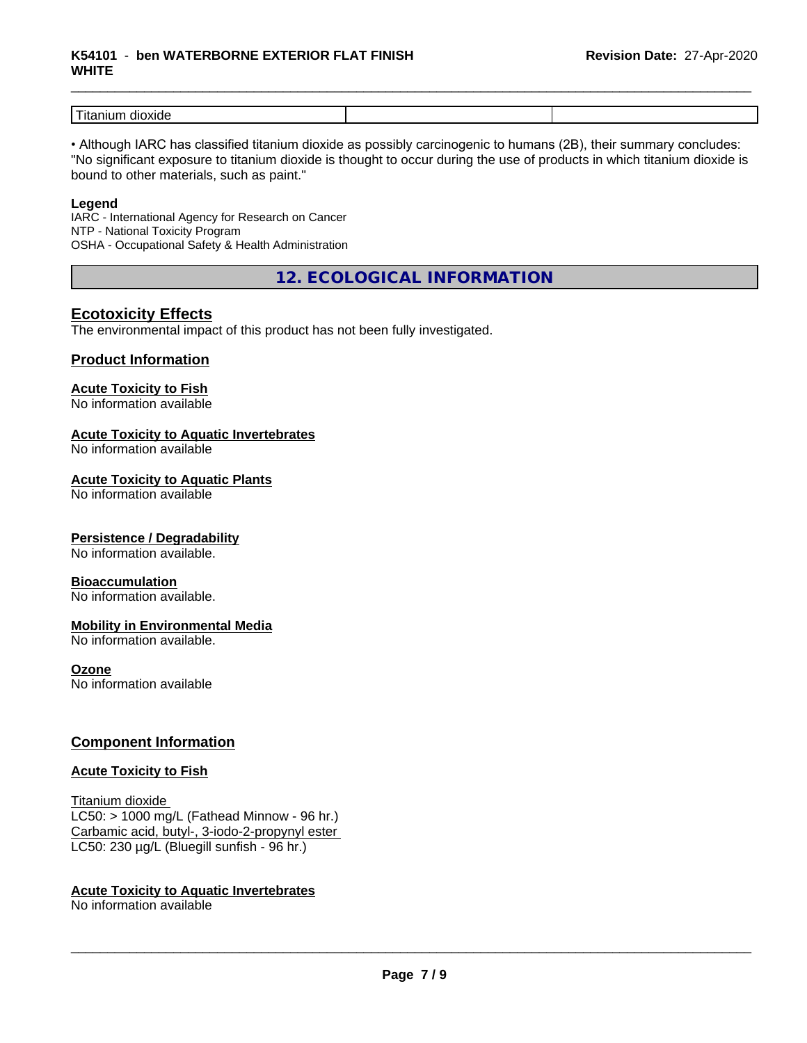#### \_\_\_\_\_\_\_\_\_\_\_\_\_\_\_\_\_\_\_\_\_\_\_\_\_\_\_\_\_\_\_\_\_\_\_\_\_\_\_\_\_\_\_\_\_\_\_\_\_\_\_\_\_\_\_\_\_\_\_\_\_\_\_\_\_\_\_\_\_\_\_\_\_\_\_\_\_\_\_\_\_\_\_\_\_\_\_\_\_\_\_\_\_ **K54101** - **ben WATERBORNE EXTERIOR FLAT FINISH WHITE**

| .<br>wu |  |
|---------|--|

• Although IARC has classified titanium dioxide as possibly carcinogenic to humans (2B), their summary concludes: "No significant exposure to titanium dioxide is thought to occur during the use of products in which titanium dioxide is bound to other materials, such as paint."

#### **Legend**

IARC - International Agency for Research on Cancer NTP - National Toxicity Program OSHA - Occupational Safety & Health Administration

**12. ECOLOGICAL INFORMATION**

## **Ecotoxicity Effects**

The environmental impact of this product has not been fully investigated.

#### **Product Information**

## **Acute Toxicity to Fish**

No information available

#### **Acute Toxicity to Aquatic Invertebrates**

No information available

#### **Acute Toxicity to Aquatic Plants**

No information available

#### **Persistence / Degradability**

No information available.

#### **Bioaccumulation**

No information available.

#### **Mobility in Environmental Media**

No information available.

#### **Ozone**

No information available

### **Component Information**

#### **Acute Toxicity to Fish**

Titanium dioxide  $LC50:$  > 1000 mg/L (Fathead Minnow - 96 hr.) Carbamic acid, butyl-, 3-iodo-2-propynyl ester LC50: 230 µg/L (Bluegill sunfish - 96 hr.)

#### **Acute Toxicity to Aquatic Invertebrates**

No information available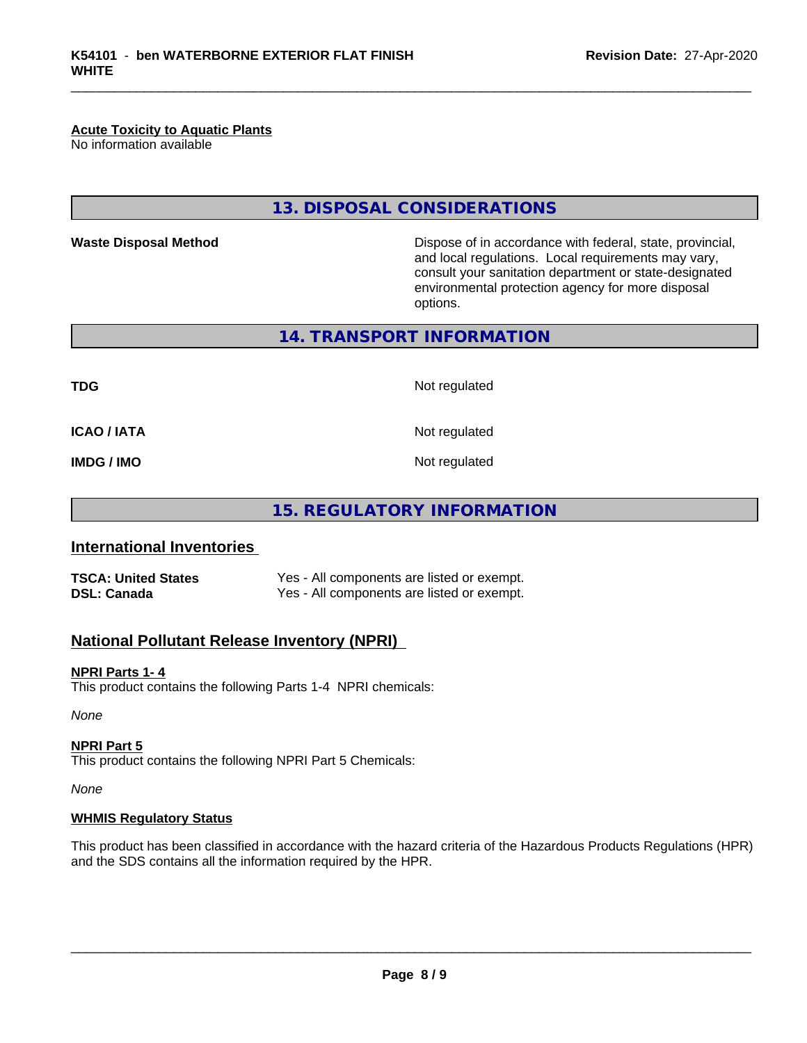## **Acute Toxicity to Aquatic Plants**

No information available

## **13. DISPOSAL CONSIDERATIONS**

**Waste Disposal Method Dispose of in accordance with federal, state, provincial,** and local regulations. Local requirements may vary, consult your sanitation department or state-designated environmental protection agency for more disposal options.

**14. TRANSPORT INFORMATION**

**TDG** Not regulated

**ICAO / IATA** Not regulated

**IMDG / IMO** Not regulated

**15. REGULATORY INFORMATION**

### **International Inventories**

**TSCA: United States** Yes - All components are listed or exempt. **DSL: Canada** Yes - All components are listed or exempt.

## **National Pollutant Release Inventory (NPRI)**

#### **NPRI Parts 1- 4**

This product contains the following Parts 1-4 NPRI chemicals:

*None*

#### **NPRI Part 5**

This product contains the following NPRI Part 5 Chemicals:

*None*

#### **WHMIS Regulatory Status**

This product has been classified in accordance with the hazard criteria of the Hazardous Products Regulations (HPR) and the SDS contains all the information required by the HPR.